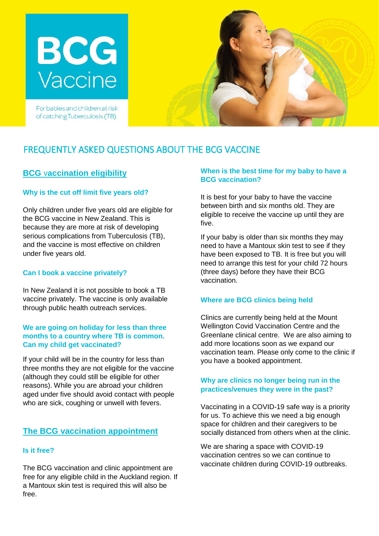**BCG**<br>Vaccine

For babies and children at risk of catching Tuberculosis (TB)



# FREQUENTLY ASKED QUESTIONS ABOUT THE BCG VACCINE

## **BCG** v**accination eligibility**

## **Why is the cut off limit five years old?**

Only children under five years old are eligible for the BCG vaccine in New Zealand. This is because they are more at risk of developing serious complications from Tuberculosis (TB), and the vaccine is most effective on children under five years old.

## **Can I book a vaccine privately?**

In New Zealand it is not possible to book a TB vaccine privately. The vaccine is only available through public health outreach services.

## **We are going on holiday for less than three months to a country where TB is common. Can my child get vaccinated?**

If your child will be in the country for less than three months they are not eligible for the vaccine (although they could still be eligible for other reasons). While you are abroad your children aged under five should avoid contact with people who are sick, coughing or unwell with fevers.

## **The BCG vaccination appointment**

## **Is it free?**

The BCG vaccination and clinic appointment are free for any eligible child in the Auckland region. If a Mantoux skin test is required this will also be free.

## **When is the best time for my baby to have a BCG vaccination?**

It is best for your baby to have the vaccine between birth and six months old. They are eligible to receive the vaccine up until they are five.

If your baby is older than six months they may need to have a Mantoux skin test to see if they have been exposed to TB. It is free but you will need to arrange this test for your child 72 hours (three days) before they have their BCG vaccination.

## **Where are BCG clinics being held**

Clinics are currently being held at the Mount Wellington Covid Vaccination Centre and the Greenlane clinical centre. We are also aiming to add more locations soon as we expand our vaccination team. Please only come to the clinic if you have a booked appointment.

## **Why are clinics no longer being run in the practices/venues they were in the past?**

Vaccinating in a COVID-19 safe way is a priority for us. To achieve this we need a big enough space for children and their caregivers to be socially distanced from others when at the clinic.

We are sharing a space with COVID-19 vaccination centres so we can continue to vaccinate children during COVID-19 outbreaks.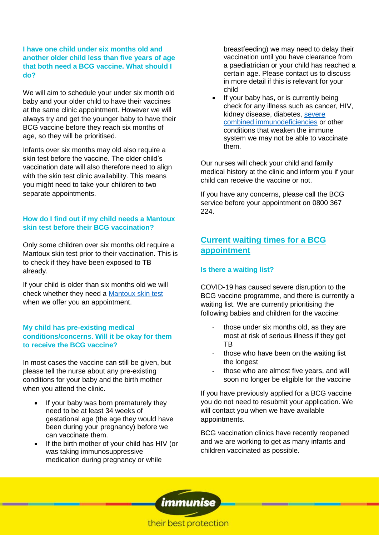#### **I have one child under six months old and another older child less than five years of age that both need a BCG vaccine. What should I do?**

We will aim to schedule your under six month old baby and your older child to have their vaccines at the same clinic appointment. However we will always try and get the younger baby to have their BCG vaccine before they reach six months of age, so they will be prioritised.

Infants over six months may old also require a skin test before the vaccine. The older child's vaccination date will also therefore need to align with the skin test clinic availability. This means you might need to take your children to two separate appointments.

#### **How do I find out if my child needs a Mantoux skin test before their BCG vaccination?**

Only some children over six months old require a Mantoux skin test prior to their vaccination. This is to check if they have been exposed to TB already.

If your child is older than six months old we will check whether they need a [Mantoux](https://www.healthnavigator.org.nz/health-a-z/t/tuberculin-skin-test/) skin test when we offer you an appointment.

#### **My child has pre-existing medical conditions/concerns. Will it be okay for them to receive the BCG vaccine?**

In most cases the vaccine can still be given, but please tell the nurse about any pre-existing conditions for your baby and the birth mother when you attend the clinic.

- If your baby was born prematurely they need to be at least 34 weeks of gestational age (the age they would have been during your pregnancy) before we can vaccinate them.
- If the birth mother of your child has HIV (or was taking immunosuppressive medication during pregnancy or while

breastfeeding) we may need to delay their vaccination until you have clearance from a paediatrician or your child has reached a certain age. Please contact us to discuss in more detail if this is relevant for your child

 If your baby has, or is currently being check for any illness such as cancer, HIV, kidney disease, diabetes, [severe](https://starship.org.nz/guidelines/severe-combined-immunodeficiency-scid/)  [combined immunodeficiencies](https://starship.org.nz/guidelines/severe-combined-immunodeficiency-scid/) or other conditions that weaken the immune system we may not be able to vaccinate them.

Our nurses will check your child and family medical history at the clinic and inform you if your child can receive the vaccine or not.

If you have any concerns, please call the BCG service before your appointment on 0800 367 224.

## **Current waiting times for a BCG appointment**

## **Is there a waiting list?**

COVID-19 has caused severe disruption to the BCG vaccine programme, and there is currently a waiting list. We are currently prioritising the following babies and children for the vaccine:

- those under six months old, as they are most at risk of serious illness if they get TB
- those who have been on the waiting list the longest
- those who are almost five years, and will soon no longer be eligible for the vaccine

If you have previously applied for a BCG vaccine you do not need to resubmit your application. We will contact you when we have available appointments.

BCG vaccination clinics have recently reopened and we are working to get as many infants and children vaccinated as possible.

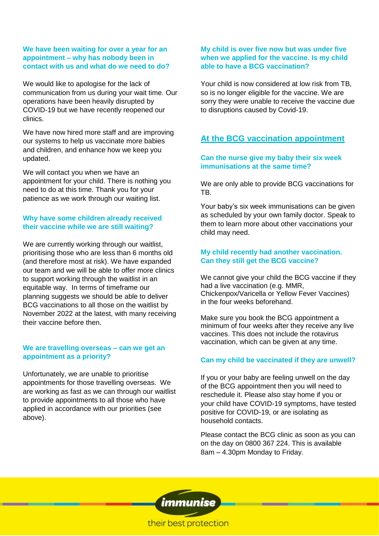#### **We have been waiting for over a year for an appointment – why has nobody been in contact with us and what do we need to do?**

We would like to apologise for the lack of communication from us during your wait time. Our operations have been heavily disrupted by COVID-19 but we have recently reopened our clinics.

We have now hired more staff and are improving our systems to help us vaccinate more babies and children, and enhance how we keep you updated.

We will contact you when we have an appointment for your child. There is nothing you need to do at this time. Thank you for your patience as we work through our waiting list.

## **Why have some children already received their vaccine while we are still waiting?**

We are currently working through our waitlist, prioritising those who are less than 6 months old (and therefore most at risk). We have expanded our team and we will be able to offer more clinics to support working through the waitlist in an equitable way. In terms of timeframe our planning suggests we should be able to deliver BCG vaccinations to all those on the waitlist by November 2022 at the latest, with many receiving their vaccine before then.

### **We are travelling overseas – can we get an appointment as a priority?**

Unfortunately, we are unable to prioritise appointments for those travelling overseas. We are working as fast as we can through our waitlist to provide appointments to all those who have applied in accordance with our priorities (see above).

#### **My child is over five now but was under five when we applied for the vaccine. Is my child able to have a BCG vaccination?**

Your child is now considered at low risk from TB, so is no longer eligible for the vaccine. We are sorry they were unable to receive the vaccine due to disruptions caused by Covid-19.

## **At the BCG vaccination appointment**

### **Can the nurse give my baby their six week immunisations at the same time?**

We are only able to provide BCG vaccinations for TB.

Your baby's six week immunisations can be given as scheduled by your own family doctor. Speak to them to learn more about other vaccinations your child may need.

## **My child recently had another vaccination. Can they still get the BCG vaccine?**

We cannot give your child the BCG vaccine if they had a live vaccination (e.g. MMR, Chickenpox/Varicella or Yellow Fever Vaccines) in the four weeks beforehand.

Make sure you book the BCG appointment a minimum of four weeks after they receive any live vaccines. This does not include the rotavirus vaccination, which can be given at any time.

#### **Can my child be vaccinated if they are unwell?**

If you or your baby are feeling unwell on the day of the BCG appointment then you will need to reschedule it. Please also stay home if you or your child have COVID-19 symptoms, have tested positive for COVID-19, or are isolating as household contacts.

Please contact the BCG clinic as soon as you can on the day on 0800 367 224. This is available 8am – 4.30pm Monday to Friday.